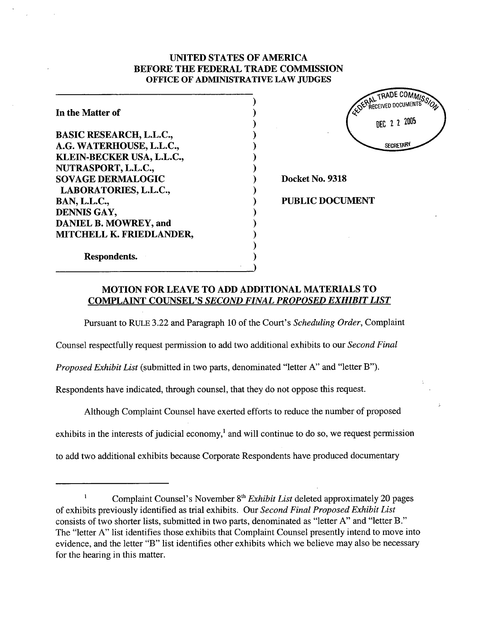## UNITED STATES OF AMERICA BEFORE THE FEDERAL TRADE COMMSSION OFFICE OF ADMINISTRATIVE LAW JUDGES

⟩  $\mathcal{E}$ 

 $\lambda$  $\lambda$ 

 $\lambda$  $\lambda$  $\lambda$  $\lambda$  $\lambda$  $\lambda$ 

In the Matter of BASIC RESEARCH, L.L.C. G. WATERHOUSE, L.L.C., KLEIN-BECKER USA, L.L.C. NUTRASPORT, L.L.c., SOVAGE DERMALOGIC LABORA TORIES, L.L.c., BAN, L.L.C., DENNIS GAY, DANIEL B. MOWREY, and MITCHELL K. FRIEDLANDER,

Respondents.

TRADE COMMIS AL INCENSIONAL DEC 2 2 2005 **SECRETARY** 

Docket No. 9318

PUBLIC DOCUMENT

MOTION FOR LEAVE TO ADD ADDITIONAL MATERIALS TO COMPLAINT COUNSEL'S SECOND FINAL PROPOSED EXHIBIT LIST

Pursuant to RULE 3.22 and Paragraph 10 of the Court's Scheduling Order, Complaint

Counsel respectfully request permission to add two additional exhibits to our Second Final

Proposed Exhibit List (submitted in two parts, denominated "letter A" and "letter B").

Respondents have indicated, through counsel, that they do not oppose this request.

Although Complaint Counsel have exerted efforts to reduce the number of proposed

exhibits in the interests of judicial economy,<sup>1</sup> and will continue to do so, we request permission

to add two additional exhibits because Corporate Respondents have produced documentar

 $\mathbf{I}$ Complaint Counsel's November 8<sup>th</sup> Exhibit List deleted approximately 20 pages of exhibits previously identified as trial exhibits. Our Second Final Proposed Exhibit List consists of two shorter lists, submitted in two pars, denominated as "letter A" and "letter B." The "letter A" list identifies those exhibits that Complaint Counsel presently intend to move into evidence, and the letter "B" list identifies other exhibits which we believe may also be necessar for the hearing in this matter.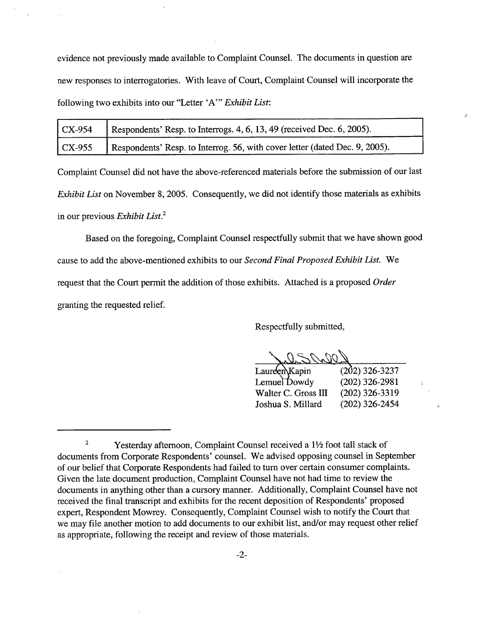evidence not previously made available to Complaint Counsel. The documents in question are new responses to interrogatories. With leave of Court, Complaint Counsel will incorporate the following two exhibits into our "Letter 'A'" Exhibit List:

| $\sum_{9.54}$        | Respondents' Resp. to Interrogs. 4, 6, 13, 49 (received Dec. 6, 2005).      |
|----------------------|-----------------------------------------------------------------------------|
| $\overline{C}$ X-955 | Respondents' Resp. to Interrog. 56, with cover letter (dated Dec. 9, 2005). |

Complaint Counsel did not have the above-referenced materials before the submission of our last Exhibit List on November 8, 2005. Consequently, we did not identify those materials as exhibits in our previous *Exhibit List*.<sup>2</sup>

Based on the foregoing, Complaint Counsel respectfully submit that we have shown good cause to add the above-mentioned exhibits to our *Second Final Proposed Exhibit List*. We request that the Court permit the addition of those exhibits. Attached is a proposed Order granting the requested relief.

Respectfully submitted,

Laureen Kapin Lemuel Dowdy Walter C. Gross III Joshua S. Milard

(202) 326-3237 (202) 326-2981 (202) 326-3319 (202) 326-2454

 $\mathbf 2$ Yesterday afternoon, Complaint Counsel received a 1<sup>1</sup>/<sub>2</sub> foot tall stack of documents from Corporate Respondents' counsel. We advised opposing counsel in September of our belief that Corporate Respondents had failed to turn over certain consumer complaints. Given the late document production, Complaint Counsel have not had time to review the documents in anything other than a cursory manner. Additionally, Complaint Counsel have not received the final transcript and exhibits for the recent deposition of Respondents' proposed expert, Respondent Mowrey. Consequently, Complaint Counsel wish to notify the Court that we may file another motion to add documents to our exhibit list, and/or may request other relief as appropriate, following the receipt and review of those materials.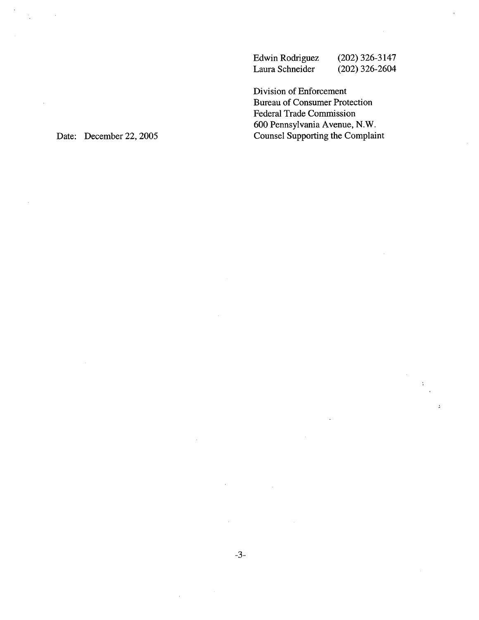Edwin Rodriguez Laura Schneider (202) 326-3147 (202) 326-2604

Division of Enforcement Bureau of Consumer Protection Federal Trade Commission 600 Pennsylvania Avenue, N. Counsel Supporting the Complaint

 $\mathbf{r}$ 

Date: December 22, 2005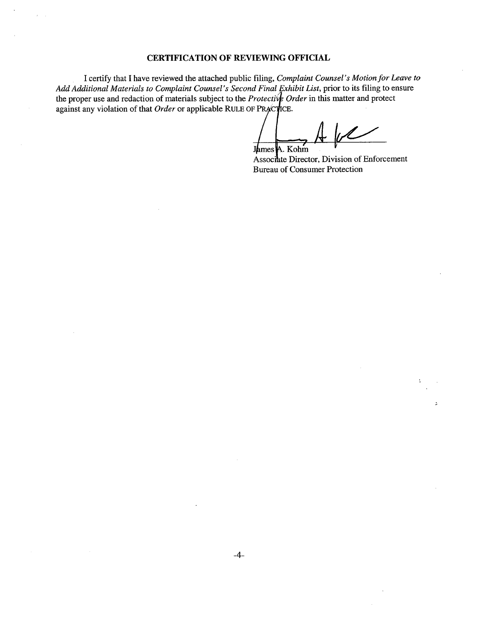## CERTIFICATION OF REVIEWING OFFICIAL

I certify that I have reviewed the attached public filing, Complaint Counsel's Motion for Leave to Add Additional Materials to Complaint Counsel's Second Final Exhibit List, prior to its filing to ensure the proper use and redaction of materials subject to the Protective Order in this matter and protect against any violation of that Order or applicable RULE OF PRACTICE.

James A. Kohm

Associate Director, Division of Enforcement Bureau of Consumer Protection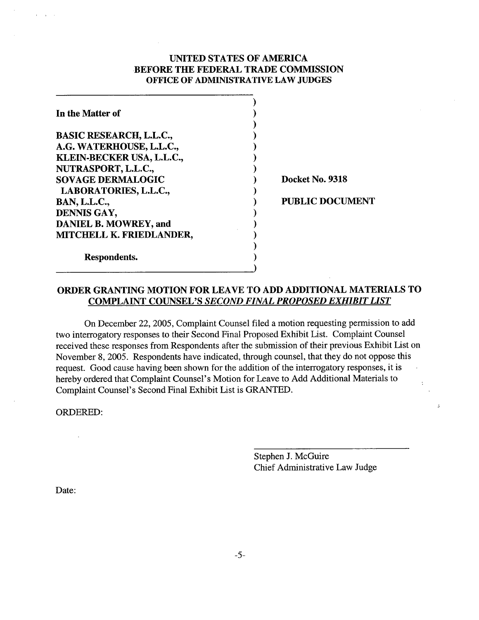## UNTED STATES OF AMERICA BEFORE THE FEDERAL TRADE COMMSSION OFFICE OF ADMINISTRATIVE LAW JUDGES

| In the Matter of                |  |
|---------------------------------|--|
|                                 |  |
| <b>BASIC RESEARCH, L.L.C.,</b>  |  |
| A.G. WATERHOUSE, L.L.C.,        |  |
| KLEIN-BECKER USA, L.L.C.,       |  |
| NUTRASPORT, L.L.C.,             |  |
| <b>SOVAGE DERMALOGIC</b>        |  |
| LABORATORIES, L.L.C.,           |  |
| <b>BAN, L.L.C.,</b>             |  |
| DENNIS GAY,                     |  |
| DANIEL B. MOWREY, and           |  |
| <b>MITCHELL K. FRIEDLANDER,</b> |  |
|                                 |  |
| Respondents.                    |  |
|                                 |  |

Docket No. 9318

## PUBLIC DOCUMENT

# ORDER GRANTING MOTION FOR LEAVE TO ADD ADDITIONAL MATERIALS TO COMPLAINT COUNSEL'S SECOND FINAL PROPOSED EXHIBIT LIST

On December 22, 2005, Complaint Counsel filed a motion requesting permission to add two interrogatory responses to their Second Final Proposed Exhibit List. Complaint Counsel received these responses from Respondents after the submission of their previous Exhibit List on November 8, 2005. Respondents have indicated, through counsel, that they do not oppose this request. Good cause having been shown for the addition of the interrogatory responses, it is hereby ordered that Complaint Counsel's Motion for Leave to Add Additional Materials to Complaint Counsel's Second Final Exhibit List is GRANTED.

ORDERED:

Stephen J. McGuire Chief Administrative Law Judge ž.

Date: